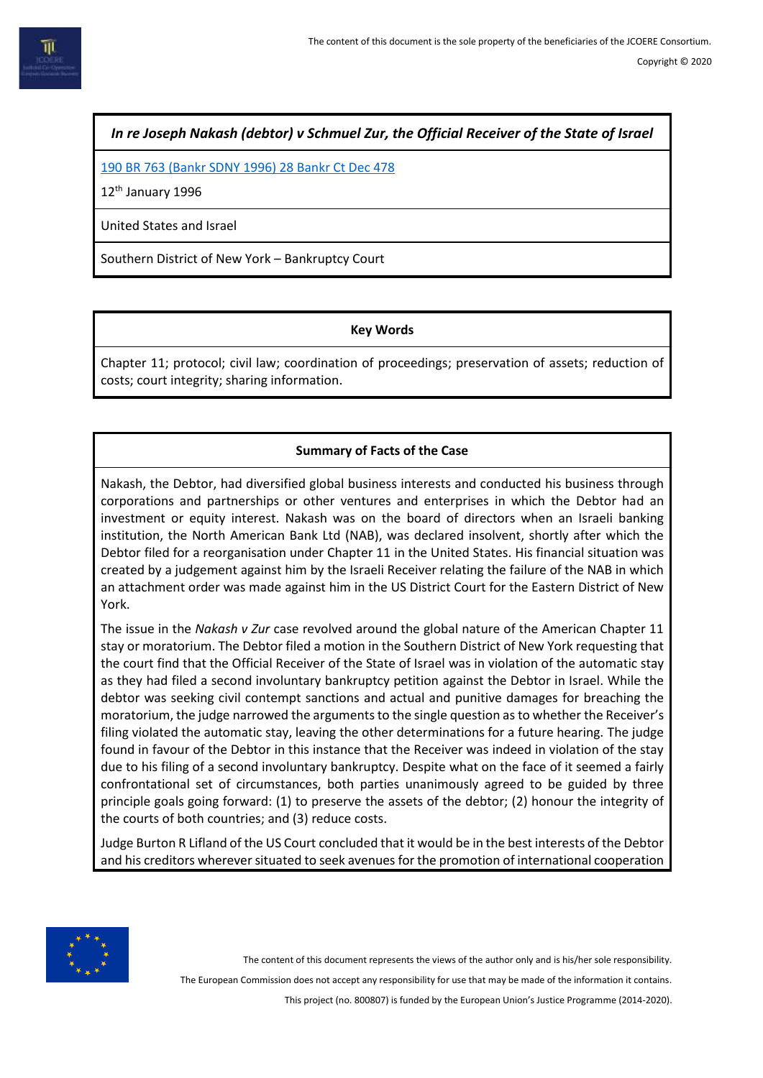*In re Joseph Nakash (debtor) v Schmuel Zur, the Official Receiver of the State of Israel*

[190 BR 763 \(Bankr SDNY 1996\) 28 Bankr Ct Dec 478](http://www.uniset.ca/lloydata/css/190BR763.html)

12<sup>th</sup> January 1996

United States and Israel

Southern District of New York – Bankruptcy Court

#### **Key Words**

Chapter 11; protocol; civil law; coordination of proceedings; preservation of assets; reduction of costs; court integrity; sharing information.

# **Summary of Facts of the Case**

Nakash, the Debtor, had diversified global business interests and conducted his business through corporations and partnerships or other ventures and enterprises in which the Debtor had an investment or equity interest. Nakash was on the board of directors when an Israeli banking institution, the North American Bank Ltd (NAB), was declared insolvent, shortly after which the Debtor filed for a reorganisation under Chapter 11 in the United States. His financial situation was created by a judgement against him by the Israeli Receiver relating the failure of the NAB in which an attachment order was made against him in the US District Court for the Eastern District of New York.

The issue in the *Nakash v Zur* case revolved around the global nature of the American Chapter 11 stay or moratorium. The Debtor filed a motion in the Southern District of New York requesting that the court find that the Official Receiver of the State of Israel was in violation of the automatic stay as they had filed a second involuntary bankruptcy petition against the Debtor in Israel. While the debtor was seeking civil contempt sanctions and actual and punitive damages for breaching the moratorium, the judge narrowed the arguments to the single question as to whether the Receiver's filing violated the automatic stay, leaving the other determinations for a future hearing. The judge found in favour of the Debtor in this instance that the Receiver was indeed in violation of the stay due to his filing of a second involuntary bankruptcy. Despite what on the face of it seemed a fairly confrontational set of circumstances, both parties unanimously agreed to be guided by three principle goals going forward: (1) to preserve the assets of the debtor; (2) honour the integrity of the courts of both countries; and (3) reduce costs.

Judge Burton R Lifland of the US Court concluded that it would be in the best interests of the Debtor and his creditors wherever situated to seek avenues for the promotion of international cooperation



The content of this document represents the views of the author only and is his/her sole responsibility.

The European Commission does not accept any responsibility for use that may be made of the information it contains.

This project (no. 800807) is funded by the European Union's Justice Programme (2014-2020).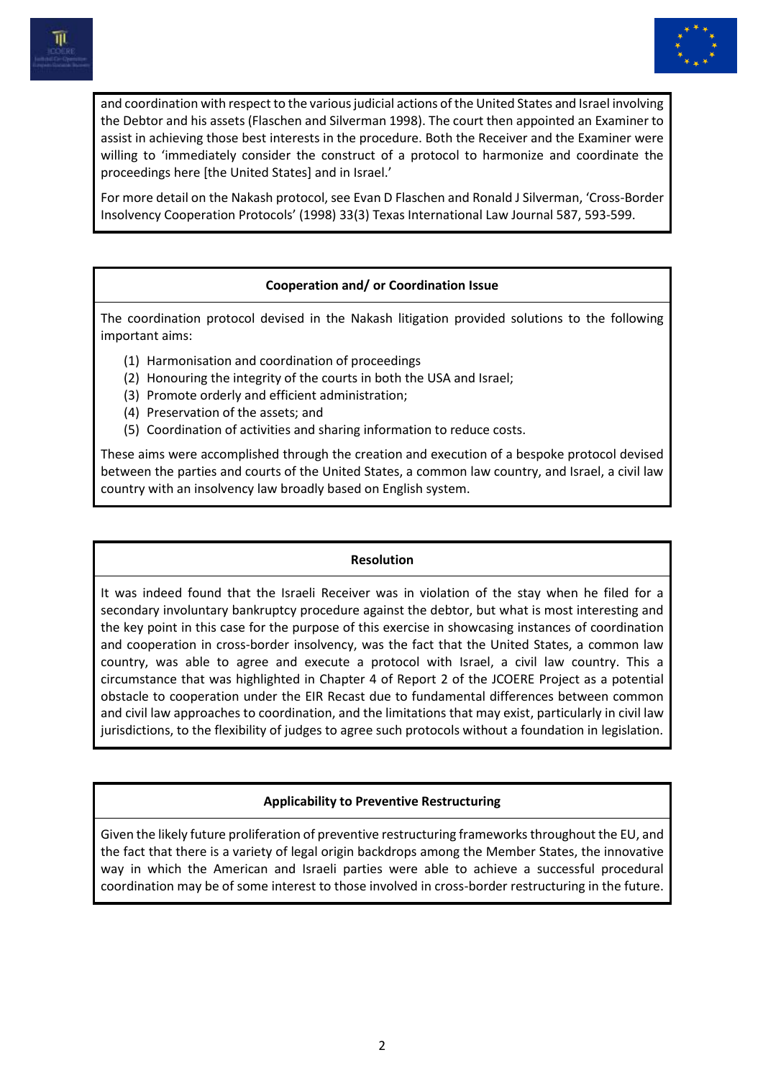



and coordination with respect to the various judicial actions of the United States and Israel involving the Debtor and his assets (Flaschen and Silverman 1998). The court then appointed an Examiner to assist in achieving those best interests in the procedure. Both the Receiver and the Examiner were willing to 'immediately consider the construct of a protocol to harmonize and coordinate the proceedings here [the United States] and in Israel.'

For more detail on the Nakash protocol, see Evan D Flaschen and Ronald J Silverman, 'Cross-Border Insolvency Cooperation Protocols' (1998) 33(3) Texas International Law Journal 587, 593-599.

## **Cooperation and/ or Coordination Issue**

The coordination protocol devised in the Nakash litigation provided solutions to the following important aims:

- (1) Harmonisation and coordination of proceedings
- (2) Honouring the integrity of the courts in both the USA and Israel;
- (3) Promote orderly and efficient administration;
- (4) Preservation of the assets; and
- (5) Coordination of activities and sharing information to reduce costs.

These aims were accomplished through the creation and execution of a bespoke protocol devised between the parties and courts of the United States, a common law country, and Israel, a civil law country with an insolvency law broadly based on English system.

### **Resolution**

It was indeed found that the Israeli Receiver was in violation of the stay when he filed for a secondary involuntary bankruptcy procedure against the debtor, but what is most interesting and the key point in this case for the purpose of this exercise in showcasing instances of coordination and cooperation in cross-border insolvency, was the fact that the United States, a common law country, was able to agree and execute a protocol with Israel, a civil law country. This a circumstance that was highlighted in Chapter 4 of Report 2 of the JCOERE Project as a potential obstacle to cooperation under the EIR Recast due to fundamental differences between common and civil law approaches to coordination, and the limitations that may exist, particularly in civil law jurisdictions, to the flexibility of judges to agree such protocols without a foundation in legislation.

# **Applicability to Preventive Restructuring**

Given the likely future proliferation of preventive restructuring frameworks throughout the EU, and the fact that there is a variety of legal origin backdrops among the Member States, the innovative way in which the American and Israeli parties were able to achieve a successful procedural coordination may be of some interest to those involved in cross-border restructuring in the future.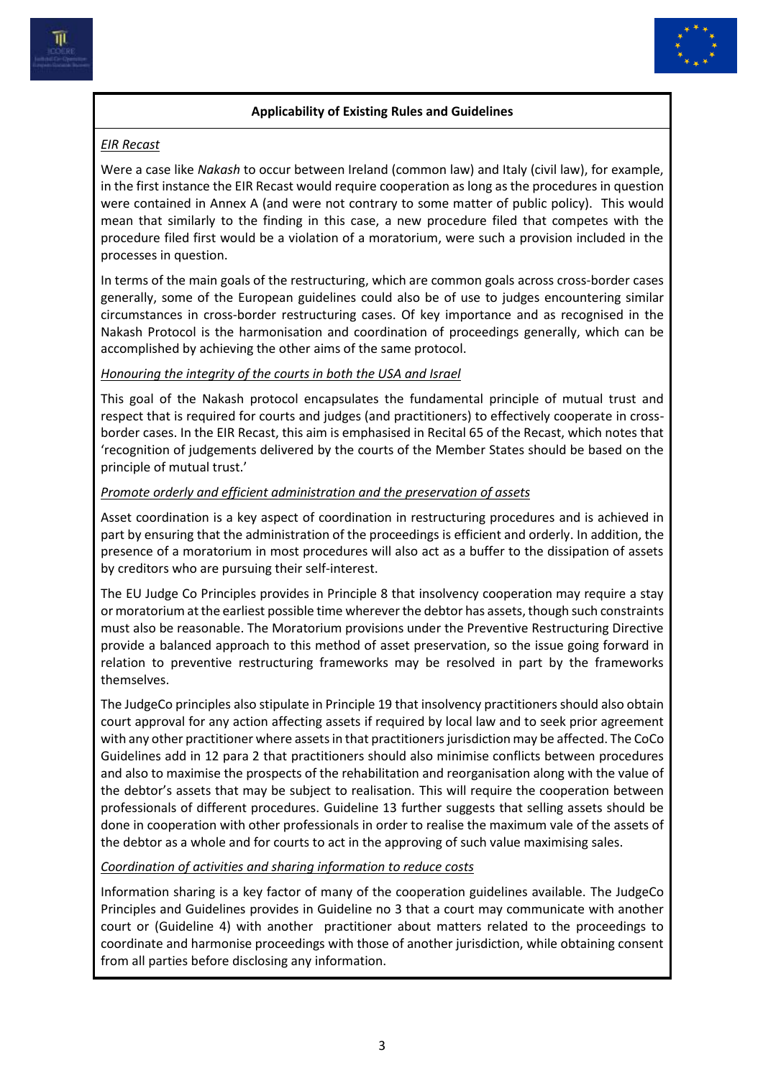

# **Applicability of Existing Rules and Guidelines**

# *EIR Recast*

Were a case like *Nakash* to occur between Ireland (common law) and Italy (civil law), for example, in the first instance the EIR Recast would require cooperation as long as the procedures in question were contained in Annex A (and were not contrary to some matter of public policy). This would mean that similarly to the finding in this case, a new procedure filed that competes with the procedure filed first would be a violation of a moratorium, were such a provision included in the processes in question.

In terms of the main goals of the restructuring, which are common goals across cross-border cases generally, some of the European guidelines could also be of use to judges encountering similar circumstances in cross-border restructuring cases. Of key importance and as recognised in the Nakash Protocol is the harmonisation and coordination of proceedings generally, which can be accomplished by achieving the other aims of the same protocol.

## *Honouring the integrity of the courts in both the USA and Israel*

This goal of the Nakash protocol encapsulates the fundamental principle of mutual trust and respect that is required for courts and judges (and practitioners) to effectively cooperate in crossborder cases. In the EIR Recast, this aim is emphasised in Recital 65 of the Recast, which notes that 'recognition of judgements delivered by the courts of the Member States should be based on the principle of mutual trust.'

## *Promote orderly and efficient administration and the preservation of assets*

Asset coordination is a key aspect of coordination in restructuring procedures and is achieved in part by ensuring that the administration of the proceedings is efficient and orderly. In addition, the presence of a moratorium in most procedures will also act as a buffer to the dissipation of assets by creditors who are pursuing their self-interest.

The EU Judge Co Principles provides in Principle 8 that insolvency cooperation may require a stay or moratorium at the earliest possible time wherever the debtor has assets, though such constraints must also be reasonable. The Moratorium provisions under the Preventive Restructuring Directive provide a balanced approach to this method of asset preservation, so the issue going forward in relation to preventive restructuring frameworks may be resolved in part by the frameworks themselves.

The JudgeCo principles also stipulate in Principle 19 that insolvency practitioners should also obtain court approval for any action affecting assets if required by local law and to seek prior agreement with any other practitioner where assets in that practitioners jurisdiction may be affected. The CoCo Guidelines add in 12 para 2 that practitioners should also minimise conflicts between procedures and also to maximise the prospects of the rehabilitation and reorganisation along with the value of the debtor's assets that may be subject to realisation. This will require the cooperation between professionals of different procedures. Guideline 13 further suggests that selling assets should be done in cooperation with other professionals in order to realise the maximum vale of the assets of the debtor as a whole and for courts to act in the approving of such value maximising sales.

### *Coordination of activities and sharing information to reduce costs*

Information sharing is a key factor of many of the cooperation guidelines available. The JudgeCo Principles and Guidelines provides in Guideline no 3 that a court may communicate with another court or (Guideline 4) with another practitioner about matters related to the proceedings to coordinate and harmonise proceedings with those of another jurisdiction, while obtaining consent from all parties before disclosing any information.